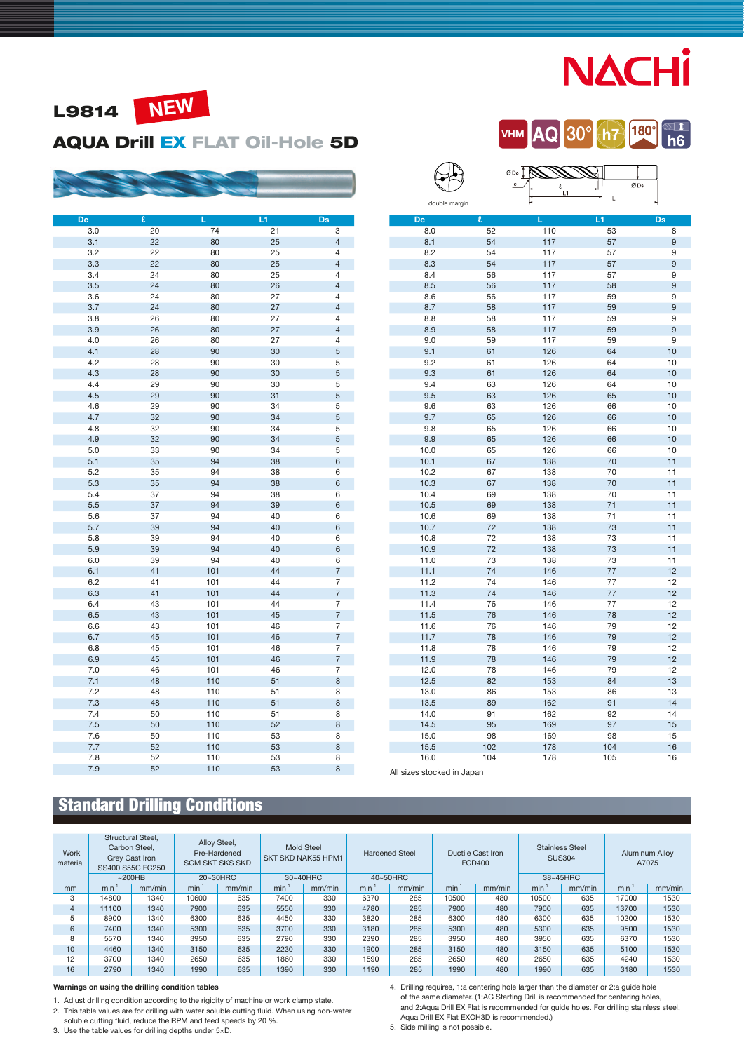# **NACHI**

**VHM** AQ 30° th7 180° **M** h6



#### AQUA Drill EX FLAT Oil-Hole 5D



| Dc  | $\pmb{\ell}$ | L   | L1 | Ds                        |
|-----|--------------|-----|----|---------------------------|
| 3.0 | 20           | 74  | 21 | $\overline{\mathbf{3}}$   |
| 3.1 | 22           | 80  | 25 | $\overline{4}$            |
| 3.2 | 22           | 80  | 25 | 4                         |
| 3.3 | 22           | 80  | 25 | $\overline{\mathcal{L}}$  |
| 3.4 | 24           | 80  | 25 | 4                         |
| 3.5 | 24           | 80  | 26 | $\overline{\mathcal{L}}$  |
| 3.6 | 24           | 80  | 27 | $\overline{4}$            |
| 3.7 | 24           | 80  | 27 | $\sqrt{4}$                |
| 3.8 | 26           | 80  | 27 | $\overline{4}$            |
| 3.9 | 26           | 80  | 27 | $\overline{4}$            |
| 4.0 | 26           | 80  | 27 | $\overline{4}$            |
| 4.1 | 28           | 90  | 30 | $\sqrt{5}$                |
| 4.2 | 28           | 90  | 30 | 5                         |
| 4.3 | 28           | 90  | 30 | $\sqrt{5}$                |
| 4.4 | 29           | 90  | 30 | 5                         |
| 4.5 | 29           | 90  | 31 | $\sqrt{5}$                |
| 4.6 | 29           | 90  | 34 | 5                         |
| 4.7 | 32           | 90  | 34 | $\sqrt{5}$                |
| 4.8 | 32           | 90  | 34 | 5                         |
| 4.9 | 32           | 90  | 34 | $\sqrt{5}$                |
| 5.0 | 33           | 90  | 34 | 5                         |
| 5.1 | 35           | 94  | 38 | 6                         |
| 5.2 | 35           | 94  | 38 | 6                         |
| 5.3 | 35           | 94  | 38 | 6                         |
| 5.4 | 37           | 94  | 38 | 6                         |
| 5.5 | 37           | 94  | 39 | 6                         |
| 5.6 | 37           | 94  | 40 | 6                         |
| 5.7 | 39           | 94  | 40 | 6                         |
| 5.8 | 39           | 94  | 40 | 6                         |
| 5.9 | 39           | 94  | 40 | 6                         |
| 6.0 | 39           | 94  | 40 | 6                         |
| 6.1 | 41           | 101 | 44 | $\overline{\mathfrak{c}}$ |
| 6.2 | 41           | 101 | 44 | 7                         |
| 6.3 | 41           | 101 | 44 | $\overline{7}$            |
| 6.4 | 43           | 101 | 44 | 7                         |
| 6.5 | 43           | 101 | 45 | $\overline{7}$            |
| 6.6 | 43           | 101 | 46 | 7                         |
| 6.7 | 45           | 101 | 46 | $\overline{7}$            |
| 6.8 | 45           | 101 | 46 | 7                         |
| 6.9 | 45           | 101 | 46 | $\overline{7}$            |
| 7.0 | 46           | 101 | 46 | 7                         |
| 7.1 | 48           | 110 | 51 | 8                         |
| 7.2 | 48           | 110 | 51 | 8                         |
| 7.3 | 48           | 110 | 51 | 8                         |
| 7.4 | 50           | 110 | 51 | 8                         |
| 7.5 | 50           | 110 | 52 | 8                         |
| 7.6 | 50           | 110 | 53 | 8                         |
| 7.7 | 52           | 110 | 53 | 8                         |
| 7.8 | 52           | 110 | 53 | 8                         |
| 7.9 | 52           | 110 | 53 | 8                         |
|     |              |     |    |                           |

|               |        | $\overline{c}$<br>L1 | ØDs |           |
|---------------|--------|----------------------|-----|-----------|
| double margin |        |                      | L   |           |
| Dc            | $\ell$ | Ē                    | L1  | <b>Ds</b> |
| 8.0           | 52     | 110                  | 53  | 8         |
| 8.1           | 54     | 117                  | 57  | 9         |
| 8.2           | 54     | 117                  | 57  | 9         |
| 8.3           | 54     | 117                  | 57  | 9         |
| 8.4           | 56     | 117                  | 57  | 9         |
| 8.5           | 56     | 117                  | 58  | 9         |
| 8.6           | 56     | 117                  | 59  | 9         |
| 8.7           | 58     | 117                  | 59  | 9         |
| 8.8           | 58     | 117                  | 59  | 9         |
| 8.9           | 58     | 117                  | 59  | 9         |
| 9.0           | 59     | 117                  | 59  | 9         |
| 9.1           | 61     | 126                  | 64  | 10        |
| 9.2           | 61     | 126                  | 64  | 10        |
| 9.3           | 61     | 126                  | 64  | 10        |
| 9.4           | 63     | 126                  | 64  | 10        |
| 9.5           | 63     | 126                  | 65  | 10        |
| 9.6           | 63     | 126                  | 66  | 10        |
| 9.7           | 65     | 126                  | 66  | 10        |
| 9.8           | 65     | 126                  | 66  | 10        |
| 9.9           | 65     | 126                  | 66  | 10        |
| 10.0          | 65     | 126                  | 66  | 10        |
| 10.1          | 67     | 138                  | 70  | 11        |
| 10.2          | 67     | 138                  | 70  | 11        |
| 10.3          | 67     | 138                  | 70  | 11        |
| 10.4          | 69     | 138                  | 70  | 11        |
| 10.5          | 69     | 138                  | 71  | 11        |
| 10.6          | 69     | 138                  | 71  | 11        |
| 10.7          | 72     | 138                  | 73  | 11        |
| 10.8          | 72     | 138                  | 73  | 11        |
| 10.9          | 72     | 138                  | 73  | 11        |
| 11.0          | 73     | 138                  | 73  | 11        |
| 11.1          | 74     | 146                  | 77  | 12        |
| 11.2          | 74     | 146                  | 77  | 12        |
| 11.3          | 74     | 146                  | 77  | 12        |
| 11.4          | 76     | 146                  | 77  | 12        |
| 11.5          | 76     | 146                  | 78  | 12        |
| 11.6          | 76     | 146                  | 79  | 12        |
| 11.7          | 78     | 146                  | 79  | 12        |
| 11.8          | 78     | 146                  | 79  | 12        |
| 11.9          | 78     | 146                  | 79  | 12        |
| 12.0          | 78     | 146                  | 79  | 12        |
| 12.5          | 82     | 153                  | 84  | 13        |
| 13.0          | 86     | 153                  | 86  | 13        |
| 13.5          | 89     | 162                  | 91  | 14        |
| 14.0          | 91     | 162                  | 92  | 14        |
| 14.5          | 95     | 169                  | 97  | 15        |
| 15.0          | 98     | 169                  | 98  | 15        |
| 15.5          | 102    | 178                  | 104 | 16        |

All sizes stocked in Japan

 $\Box$ 

## Standard Drilling Conditions

| Work<br>material | Structural Steel. | Carbon Steel,<br>Grey Cast Iron<br>SS400 S55C FC250 |            | Alloy Steel,<br>Pre-Hardened<br><b>SCM SKT SKS SKD</b> | SKT SKD NAK55 HPM1 | <b>Mold Steel</b> |            | <b>Hardened Steel</b> |            | Ductile Cast Iron<br><b>FCD400</b> |                   | <b>Stainless Steel</b><br><b>SUS304</b> |            | <b>Aluminum Alloy</b><br>A7075 |  |
|------------------|-------------------|-----------------------------------------------------|------------|--------------------------------------------------------|--------------------|-------------------|------------|-----------------------|------------|------------------------------------|-------------------|-----------------------------------------|------------|--------------------------------|--|
|                  |                   | ~200HB                                              |            | 20~30HRC                                               |                    | 30~40HRC          |            | 40~50HRC              |            |                                    | 38~45HRC          |                                         |            |                                |  |
| mm               | $min^{-1}$        | mm/min                                              | $min^{-1}$ | mm/min                                                 | min <sup>-1</sup>  | mm/min            | $min^{-1}$ | mm/min                | $min^{-1}$ | mm/min                             | min <sup>-1</sup> | mm/min                                  | $min^{-1}$ | mm/min                         |  |
| 3                | 14800             | 1340                                                | 10600      | 635                                                    | 7400               | 330               | 6370       | 285                   | 10500      | 480                                | 10500             | 635                                     | 17000      | 1530                           |  |
| 4                | 11100             | 1340                                                | 7900       | 635                                                    | 5550               | 330               | 4780       | 285                   | 7900       | 480                                | 7900              | 635                                     | 13700      | 1530                           |  |
| 5                | 8900              | 1340                                                | 6300       | 635                                                    | 4450               | 330               | 3820       | 285                   | 6300       | 480                                | 6300              | 635                                     | 10200      | 1530                           |  |
| 6                | 7400              | 1340                                                | 5300       | 635                                                    | 3700               | 330               | 3180       | 285                   | 5300       | 480                                | 5300              | 635                                     | 9500       | 1530                           |  |
| 8                | 5570              | 1340                                                | 3950       | 635                                                    | 2790               | 330               | 2390       | 285                   | 3950       | 480                                | 3950              | 635                                     | 6370       | 1530                           |  |
| 10               | 4460              | 1340                                                | 3150       | 635                                                    | 2230               | 330               | 1900       | 285                   | 3150       | 480                                | 3150              | 635                                     | 5100       | 1530                           |  |
| 12               | 3700              | 1340                                                | 2650       | 635                                                    | 1860               | 330               | 1590       | 285                   | 2650       | 480                                | 2650              | 635                                     | 4240       | 1530                           |  |
| 16               | 2790              | 1340                                                | 1990       | 635                                                    | 1390               | 330               | 1190       | 285                   | 1990       | 480                                | 1990              | 635                                     | 3180       | 1530                           |  |

#### Warnings on using the drilling condition tables

1. Adjust drilling condition according to the rigidity of machine or work clamp state.

2. This table values are for drilling with water soluble cutting fluid. When using non-water soluble cutting fluid, reduce the RPM and feed speeds by 20 %.

3. Use the table values for drilling depths under 5×D.

4. Drilling requires, 1:a centering hole larger than the diameter or 2:a guide hole of the same diameter. (1:AG Starting Drill is recommended for centering holes, and 2:Aqua Drill EX Flat is recommended for guide holes. For drilling stainless steel, Aqua Drill EX Flat EXOH3D is recommended.)

16.0 104 178 105 16

5. Side milling is not possible.